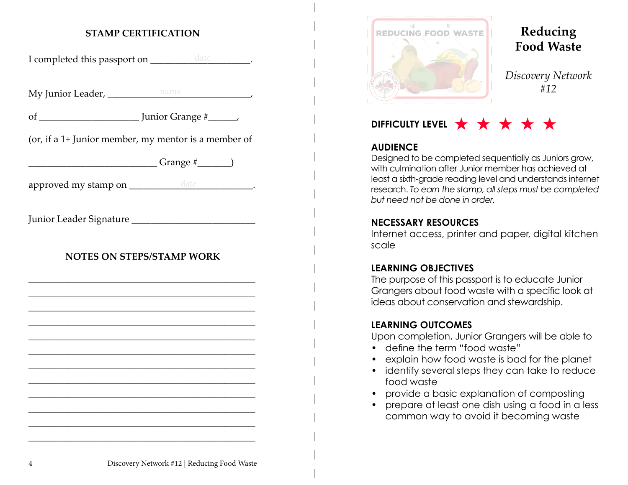# **STAMP CERTIFICATION**

I completed this passport on \_\_\_\_\_\_\_\_\_\_\_\_\_\_\_\_\_\_\_\_\_\_\_.

My Junior Leader, \_\_\_\_\_\_\_\_\_\_\_\_\_\_\_\_\_\_\_\_\_\_\_\_\_\_\_\_\_\_, name

of \_\_\_\_\_\_\_\_\_\_\_\_\_\_\_\_\_\_\_\_\_ Junior Grange #\_\_\_\_\_\_,

(or, if a 1+ Junior member, my mentor is a member of

 $Grange \#$  )

approved my stamp on \_\_\_\_\_\_\_\_\_\_\_\_\_\_\_\_\_\_\_\_\_\_\_\_\_\_\_\_\_\_\_\_\_\_.

Junior Leader Signature

## **NOTES ON STEPS/STAMP WORK**

\_\_\_\_\_\_\_\_\_\_\_\_\_\_\_\_\_\_\_\_\_\_\_\_\_\_\_\_\_\_\_\_\_\_\_\_\_\_\_\_\_\_\_\_\_\_\_\_\_\_\_\_ \_\_\_\_\_\_\_\_\_\_\_\_\_\_\_\_\_\_\_\_\_\_\_\_\_\_\_\_\_\_\_\_\_\_\_\_\_\_\_\_\_\_\_\_\_\_\_\_\_\_\_\_ \_\_\_\_\_\_\_\_\_\_\_\_\_\_\_\_\_\_\_\_\_\_\_\_\_\_\_\_\_\_\_\_\_\_\_\_\_\_\_\_\_\_\_\_\_\_\_\_\_\_\_\_ \_\_\_\_\_\_\_\_\_\_\_\_\_\_\_\_\_\_\_\_\_\_\_\_\_\_\_\_\_\_\_\_\_\_\_\_\_\_\_\_\_\_\_\_\_\_\_\_\_\_\_\_ \_\_\_\_\_\_\_\_\_\_\_\_\_\_\_\_\_\_\_\_\_\_\_\_\_\_\_\_\_\_\_\_\_\_\_\_\_\_\_\_\_\_\_\_\_\_\_\_\_\_\_\_ \_\_\_\_\_\_\_\_\_\_\_\_\_\_\_\_\_\_\_\_\_\_\_\_\_\_\_\_\_\_\_\_\_\_\_\_\_\_\_\_\_\_\_\_\_\_\_\_\_\_\_\_ \_\_\_\_\_\_\_\_\_\_\_\_\_\_\_\_\_\_\_\_\_\_\_\_\_\_\_\_\_\_\_\_\_\_\_\_\_\_\_\_\_\_\_\_\_\_\_\_\_\_\_\_ \_\_\_\_\_\_\_\_\_\_\_\_\_\_\_\_\_\_\_\_\_\_\_\_\_\_\_\_\_\_\_\_\_\_\_\_\_\_\_\_\_\_\_\_\_\_\_\_\_\_\_\_ \_\_\_\_\_\_\_\_\_\_\_\_\_\_\_\_\_\_\_\_\_\_\_\_\_\_\_\_\_\_\_\_\_\_\_\_\_\_\_\_\_\_\_\_\_\_\_\_\_\_\_\_ \_\_\_\_\_\_\_\_\_\_\_\_\_\_\_\_\_\_\_\_\_\_\_\_\_\_\_\_\_\_\_\_\_\_\_\_\_\_\_\_\_\_\_\_\_\_\_\_\_\_\_\_ \_\_\_\_\_\_\_\_\_\_\_\_\_\_\_\_\_\_\_\_\_\_\_\_\_\_\_\_\_\_\_\_\_\_\_\_\_\_\_\_\_\_\_\_\_\_\_\_\_\_\_\_ \_\_\_\_\_\_\_\_\_\_\_\_\_\_\_\_\_\_\_\_\_\_\_\_\_\_\_\_\_\_\_\_\_\_\_\_\_\_\_\_\_\_\_\_\_\_\_\_\_\_\_\_



# **Reducing Food Waste**

*Discovery Network #12*

# DIFFICULTY LEVEL  $\star \star \star \star \star$

## **AUDIENCE**

Designed to be completed sequentially as Juniors grow, with culmination after Junior member has achieved at least a sixth-grade reading level and understands internet research. *To earn the stamp, all steps must be completed but need not be done in order.*

## **NECESSARY RESOURCES**

Internet access, printer and paper, digital kitchen scale

## **LEARNING OBJECTIVES**

The purpose of this passport is to educate Junior Grangers about food waste with a specific look at ideas about conservation and stewardship.

#### **LEARNING OUTCOMES**

Upon completion, Junior Grangers will be able to

- define the term "food waste"
- explain how food waste is bad for the planet
- identify several steps they can take to reduce food waste
- provide a basic explanation of composting
- prepare at least one dish using a food in a less common way to avoid it becoming waste